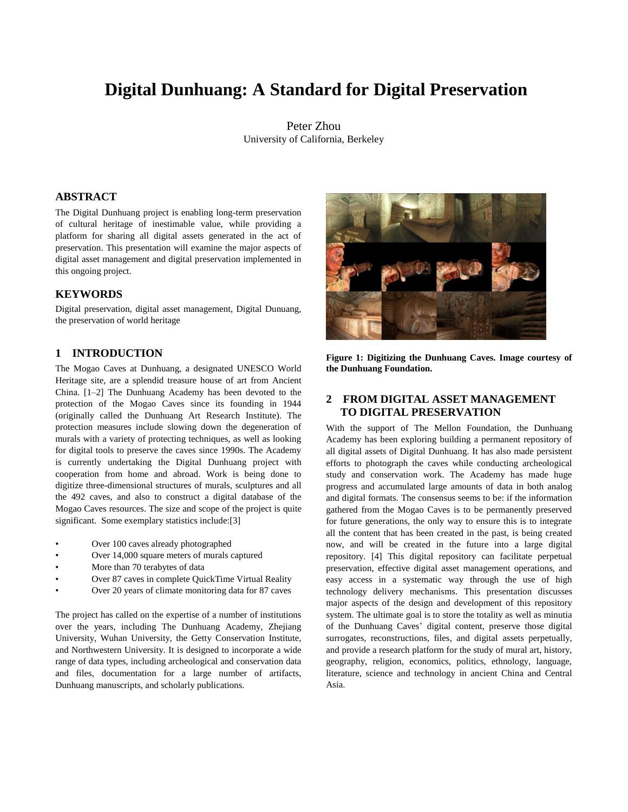# **Digital Dunhuang: A Standard for Digital Preservation**

Peter Zhou University of California, Berkeley

# **ABSTRACT**

The Digital Dunhuang project is enabling long-term preservation of cultural heritage of inestimable value, while providing a platform for sharing all digital assets generated in the act of preservation. This presentation will examine the major aspects of digital asset management and digital preservation implemented in this ongoing project.

### **KEYWORDS**

Digital preservation, digital asset management, Digital Dunuang, the preservation of world heritage

### **1 INTRODUCTION**

The Mogao Caves at Dunhuang, a designated UNESCO World Heritage site, are a splendid treasure house of art from Ancient China. [1–2] The Dunhuang Academy has been devoted to the protection of the Mogao Caves since its founding in 1944 (originally called the Dunhuang Art Research Institute). The protection measures include slowing down the degeneration of murals with a variety of protecting techniques, as well as looking for digital tools to preserve the caves since 1990s. The Academy is currently undertaking the Digital Dunhuang project with cooperation from home and abroad. Work is being done to digitize three-dimensional structures of murals, sculptures and all the 492 caves, and also to construct a digital database of the Mogao Caves resources. The size and scope of the project is quite significant. Some exemplary statistics include:[3]

- Over 100 caves already photographed
- Over 14,000 square meters of murals captured
- More than 70 terabytes of data
- Over 87 caves in complete QuickTime Virtual Reality
- Over 20 years of climate monitoring data for 87 caves

The project has called on the expertise of a number of institutions over the years, including The Dunhuang Academy, Zhejiang University, Wuhan University, the Getty Conservation Institute, and Northwestern University. It is designed to incorporate a wide range of data types, including archeological and conservation data and files, documentation for a large number of artifacts, Dunhuang manuscripts, and scholarly publications.



**Figure 1: Digitizing the Dunhuang Caves. Image courtesy of the Dunhuang Foundation.** 

# **2 FROM DIGITAL ASSET MANAGEMENT TO DIGITAL PRESERVATION**

With the support of The Mellon Foundation, the Dunhuang Academy has been exploring building a permanent repository of all digital assets of Digital Dunhuang. It has also made persistent efforts to photograph the caves while conducting archeological study and conservation work. The Academy has made huge progress and accumulated large amounts of data in both analog and digital formats. The consensus seems to be: if the information gathered from the Mogao Caves is to be permanently preserved for future generations, the only way to ensure this is to integrate all the content that has been created in the past, is being created now, and will be created in the future into a large digital repository. [4] This digital repository can facilitate perpetual preservation, effective digital asset management operations, and easy access in a systematic way through the use of high technology delivery mechanisms. This presentation discusses major aspects of the design and development of this repository system. The ultimate goal is to store the totality as well as minutia of the Dunhuang Caves' digital content, preserve those digital surrogates, reconstructions, files, and digital assets perpetually, and provide a research platform for the study of mural art, history, geography, religion, economics, politics, ethnology, language, literature, science and technology in ancient China and Central Asia.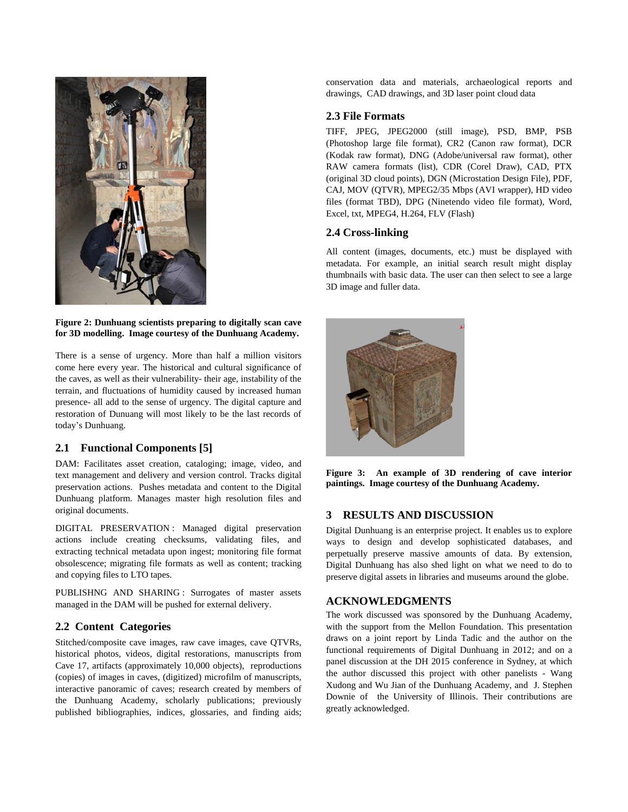

#### **Figure 2: Dunhuang scientists preparing to digitally scan cave for 3D modelling. Image courtesy of the Dunhuang Academy.**

There is a sense of urgency. More than half a million visitors come here every year. The historical and cultural significance of the caves, as well as their vulnerability- their age, instability of the terrain, and fluctuations of humidity caused by increased human presence- all add to the sense of urgency. The digital capture and restoration of Dunuang will most likely to be the last records of today's Dunhuang.

# **2.1 Functional Components [5]**

DAM: Facilitates asset creation, cataloging; image, video, and text management and delivery and version control. Tracks digital preservation actions. Pushes metadata and content to the Digital Dunhuang platform. Manages master high resolution files and original documents.

DIGITAL PRESERVATION : Managed digital preservation actions include creating checksums, validating files, and extracting technical metadata upon ingest; monitoring file format obsolescence; migrating file formats as well as content; tracking and copying files to LTO tapes.

PUBLISHNG AND SHARING : Surrogates of master assets managed in the DAM will be pushed for external delivery.

# **2.2 Content Categories**

Stitched/composite cave images, raw cave images, cave QTVRs, historical photos, videos, digital restorations, manuscripts from Cave 17, artifacts (approximately 10,000 objects), reproductions (copies) of images in caves, (digitized) microfilm of manuscripts, interactive panoramic of caves; research created by members of the Dunhuang Academy, scholarly publications; previously published bibliographies, indices, glossaries, and finding aids;

conservation data and materials, archaeological reports and drawings, CAD drawings, and 3D laser point cloud data

# **2.3 File Formats**

TIFF, JPEG, JPEG2000 (still image), PSD, BMP, PSB (Photoshop large file format), CR2 (Canon raw format), DCR (Kodak raw format), DNG (Adobe/universal raw format), other RAW camera formats (list), CDR (Corel Draw), CAD, PTX (original 3D cloud points), DGN (Microstation Design File), PDF, CAJ, MOV (QTVR), MPEG2/35 Mbps (AVI wrapper), HD video files (format TBD), DPG (Ninetendo video file format), Word, Excel, txt, MPEG4, H.264, FLV (Flash)

### **2.4 Cross-linking**

All content (images, documents, etc.) must be displayed with metadata. For example, an initial search result might display thumbnails with basic data. The user can then select to see a large 3D image and fuller data.



**Figure 3: An example of 3D rendering of cave interior paintings. Image courtesy of the Dunhuang Academy.**

# **3 RESULTS AND DISCUSSION**

Digital Dunhuang is an enterprise project. It enables us to explore ways to design and develop sophisticated databases, and perpetually preserve massive amounts of data. By extension, Digital Dunhuang has also shed light on what we need to do to preserve digital assets in libraries and museums around the globe.

# **ACKNOWLEDGMENTS**

The work discussed was sponsored by the Dunhuang Academy, with the support from the Mellon Foundation. This presentation draws on a joint report by Linda Tadic and the author on the functional requirements of Digital Dunhuang in 2012; and on a panel discussion at the DH 2015 conference in Sydney, at which the author discussed this project with other panelists - Wang Xudong and Wu Jian of the Dunhuang Academy, and J. Stephen Downie of the University of Illinois. Their contributions are greatly acknowledged.